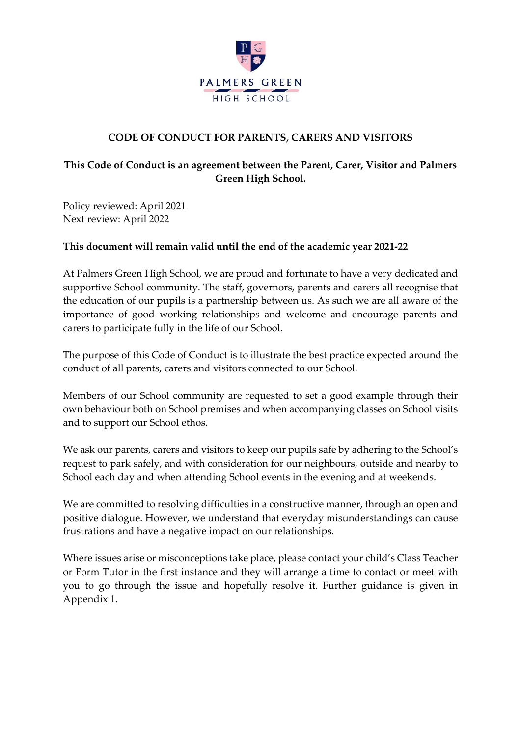

### **CODE OF CONDUCT FOR PARENTS, CARERS AND VISITORS**

## **This Code of Conduct is an agreement between the Parent, Carer, Visitor and Palmers Green High School.**

Policy reviewed: April 2021 Next review: April 2022

#### **This document will remain valid until the end of the academic year 2021-22**

At Palmers Green High School, we are proud and fortunate to have a very dedicated and supportive School community. The staff, governors, parents and carers all recognise that the education of our pupils is a partnership between us. As such we are all aware of the importance of good working relationships and welcome and encourage parents and carers to participate fully in the life of our School.

The purpose of this Code of Conduct is to illustrate the best practice expected around the conduct of all parents, carers and visitors connected to our School.

Members of our School community are requested to set a good example through their own behaviour both on School premises and when accompanying classes on School visits and to support our School ethos.

We ask our parents, carers and visitors to keep our pupils safe by adhering to the School's request to park safely, and with consideration for our neighbours, outside and nearby to School each day and when attending School events in the evening and at weekends.

We are committed to resolving difficulties in a constructive manner, through an open and positive dialogue. However, we understand that everyday misunderstandings can cause frustrations and have a negative impact on our relationships.

Where issues arise or misconceptions take place, please contact your child's Class Teacher or Form Tutor in the first instance and they will arrange a time to contact or meet with you to go through the issue and hopefully resolve it. Further guidance is given in Appendix 1.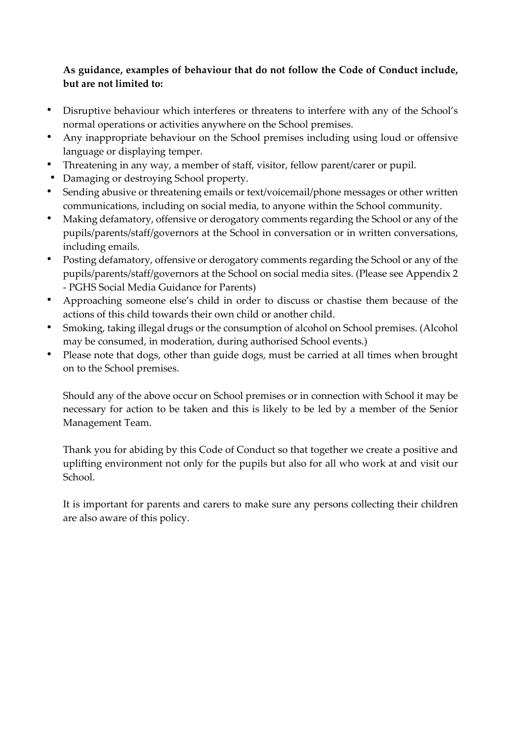## **As guidance, examples of behaviour that do not follow the Code of Conduct include, but are not limited to:**

- Disruptive behaviour which interferes or threatens to interfere with any of the School's normal operations or activities anywhere on the School premises.
- Any inappropriate behaviour on the School premises including using loud or offensive language or displaying temper.
- Threatening in any way, a member of staff, visitor, fellow parent/carer or pupil.
- Damaging or destroying School property.
- Sending abusive or threatening emails or text/voicemail/phone messages or other written communications, including on social media, to anyone within the School community.
- Making defamatory, offensive or derogatory comments regarding the School or any of the pupils/parents/staff/governors at the School in conversation or in written conversations, including emails.
- Posting defamatory, offensive or derogatory comments regarding the School or any of the pupils/parents/staff/governors at the School on social media sites. (Please see Appendix 2 - PGHS Social Media Guidance for Parents)
- Approaching someone else's child in order to discuss or chastise them because of the actions of this child towards their own child or another child.
- Smoking, taking illegal drugs or the consumption of alcohol on School premises. (Alcohol may be consumed, in moderation, during authorised School events.)
- Please note that dogs, other than guide dogs, must be carried at all times when brought on to the School premises.

Should any of the above occur on School premises or in connection with School it may be necessary for action to be taken and this is likely to be led by a member of the Senior Management Team.

Thank you for abiding by this Code of Conduct so that together we create a positive and uplifting environment not only for the pupils but also for all who work at and visit our School.

It is important for parents and carers to make sure any persons collecting their children are also aware of this policy.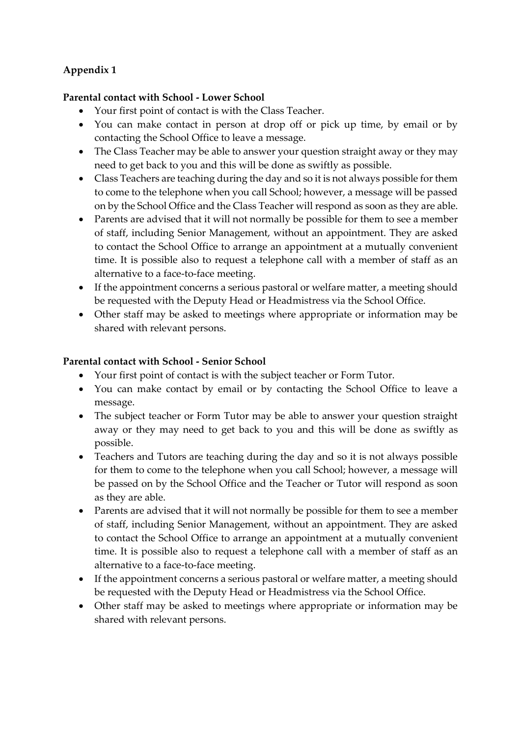# **Appendix 1**

#### **Parental contact with School - Lower School**

- Your first point of contact is with the Class Teacher.
- You can make contact in person at drop off or pick up time, by email or by contacting the School Office to leave a message.
- The Class Teacher may be able to answer your question straight away or they may need to get back to you and this will be done as swiftly as possible.
- Class Teachers are teaching during the day and so it is not always possible for them to come to the telephone when you call School; however, a message will be passed on by the School Office and the Class Teacher will respond as soon as they are able.
- Parents are advised that it will not normally be possible for them to see a member of staff, including Senior Management, without an appointment. They are asked to contact the School Office to arrange an appointment at a mutually convenient time. It is possible also to request a telephone call with a member of staff as an alternative to a face-to-face meeting.
- If the appointment concerns a serious pastoral or welfare matter, a meeting should be requested with the Deputy Head or Headmistress via the School Office.
- Other staff may be asked to meetings where appropriate or information may be shared with relevant persons.

### **Parental contact with School - Senior School**

- Your first point of contact is with the subject teacher or Form Tutor.
- You can make contact by email or by contacting the School Office to leave a message.
- The subject teacher or Form Tutor may be able to answer your question straight away or they may need to get back to you and this will be done as swiftly as possible.
- Teachers and Tutors are teaching during the day and so it is not always possible for them to come to the telephone when you call School; however, a message will be passed on by the School Office and the Teacher or Tutor will respond as soon as they are able.
- Parents are advised that it will not normally be possible for them to see a member of staff, including Senior Management, without an appointment. They are asked to contact the School Office to arrange an appointment at a mutually convenient time. It is possible also to request a telephone call with a member of staff as an alternative to a face-to-face meeting.
- If the appointment concerns a serious pastoral or welfare matter, a meeting should be requested with the Deputy Head or Headmistress via the School Office.
- Other staff may be asked to meetings where appropriate or information may be shared with relevant persons.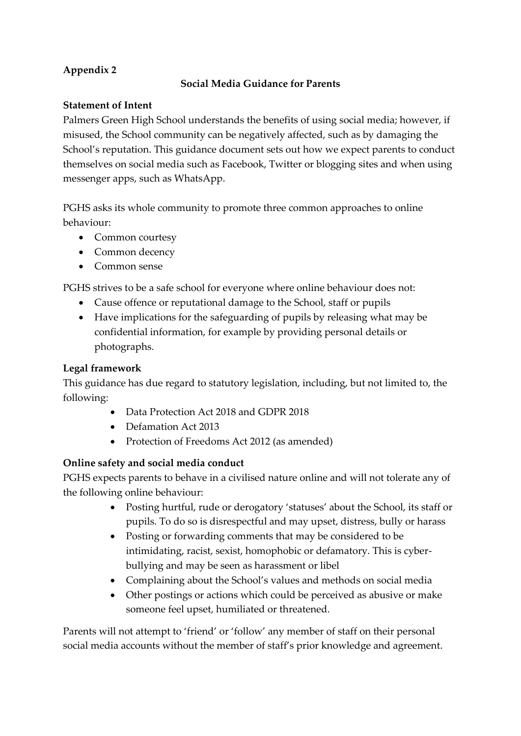# **Appendix 2**

## **Social Media Guidance for Parents**

## **Statement of Intent**

Palmers Green High School understands the benefits of using social media; however, if misused, the School community can be negatively affected, such as by damaging the School's reputation. This guidance document sets out how we expect parents to conduct themselves on social media such as Facebook, Twitter or blogging sites and when using messenger apps, such as WhatsApp.

PGHS asks its whole community to promote three common approaches to online behaviour:

- Common courtesy
- Common decency
- Common sense

PGHS strives to be a safe school for everyone where online behaviour does not:

- Cause offence or reputational damage to the School, staff or pupils
- Have implications for the safeguarding of pupils by releasing what may be confidential information, for example by providing personal details or photographs.

## **Legal framework**

This guidance has due regard to statutory legislation, including, but not limited to, the following:

- Data Protection Act 2018 and GDPR 2018
- Defamation Act 2013
- Protection of Freedoms Act 2012 (as amended)

## **Online safety and social media conduct**

PGHS expects parents to behave in a civilised nature online and will not tolerate any of the following online behaviour:

- Posting hurtful, rude or derogatory 'statuses' about the School, its staff or pupils. To do so is disrespectful and may upset, distress, bully or harass
- Posting or forwarding comments that may be considered to be intimidating, racist, sexist, homophobic or defamatory. This is cyberbullying and may be seen as harassment or libel
- Complaining about the School's values and methods on social media
- Other postings or actions which could be perceived as abusive or make someone feel upset, humiliated or threatened.

Parents will not attempt to 'friend' or 'follow' any member of staff on their personal social media accounts without the member of staff's prior knowledge and agreement.